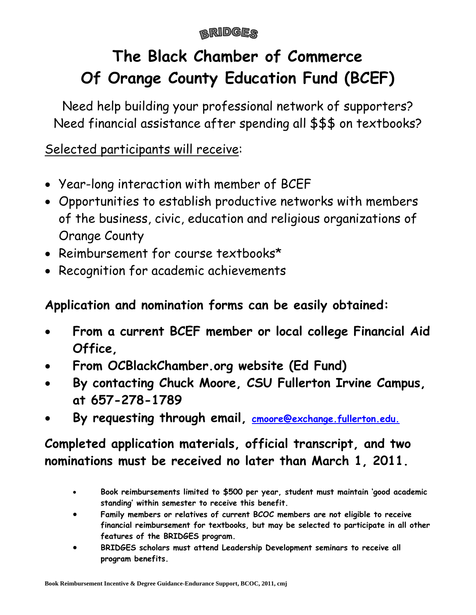## **BRIDGES**

# **The Black Chamber of Commerce Of Orange County Education Fund (BCEF)**

Need help building your professional network of supporters? Need financial assistance after spending all \$\$\$ on textbooks?

# Selected participants will receive:

- Year-long interaction with member of BCEF
- Opportunities to establish productive networks with members of the business, civic, education and religious organizations of Orange County
- Reimbursement for course textbooks\*
- Recognition for academic achievements

# **Application and nomination forms can be easily obtained:**

- **From a current BCEF member or local college Financial Aid Office,**
- **From OCBlackChamber.org website (Ed Fund)**
- **By contacting Chuck Moore, CSU Fullerton Irvine Campus, at 657-278-1789**
- **By requesting through email, [cmoore@exchange.fullerton.edu.](http://www.blackchamber.org/)**

# **Completed application materials, official transcript, and two nominations must be received no later than March 1, 2011.**

- **Book reimbursements limited to \$500 per year, student must maintain 'good academic standing' within semester to receive this benefit.**
- **Family members or relatives of current BCOC members are not eligible to receive financial reimbursement for textbooks, but may be selected to participate in all other features of the BRIDGES program.**
- **BRIDGES scholars must attend Leadership Development seminars to receive all program benefits.**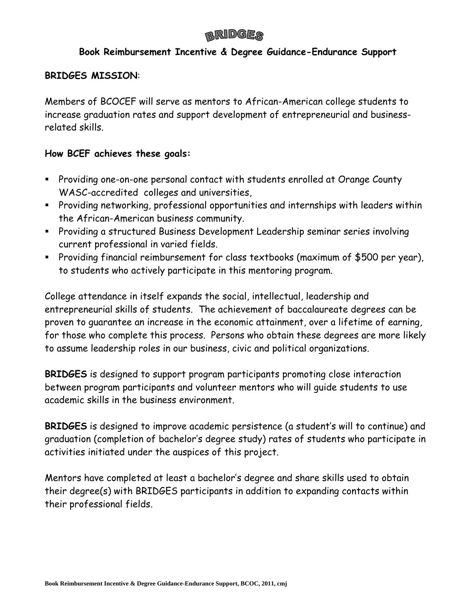### **BRIDGER**

#### **Book Reimbursement Incentive & Degree Guidance-Endurance Support**

#### **BRIDGES MISSION**:

Members of BCOCEF will serve as mentors to African-American college students to increase graduation rates and support development of entrepreneurial and businessrelated skills.

#### **How BCEF achieves these goals:**

- Providing one-on-one personal contact with students enrolled at Orange County WASC-accredited colleges and universities,
- Providing networking, professional opportunities and internships with leaders within the African-American business community.
- Providing a structured Business Development Leadership seminar series involving current professional in varied fields.
- Providing financial reimbursement for class textbooks (maximum of \$500 per year), to students who actively participate in this mentoring program.

College attendance in itself expands the social, intellectual, leadership and entrepreneurial skills of students. The achievement of baccalaureate degrees can be proven to guarantee an increase in the economic attainment, over a lifetime of earning, for those who complete this process. Persons who obtain these degrees are more likely to assume leadership roles in our business, civic and political organizations.

**BRIDGES** is designed to support program participants promoting close interaction between program participants and volunteer mentors who will guide students to use academic skills in the business environment.

**BRIDGES** is designed to improve academic persistence (a student's will to continue) and graduation (completion of bachelor's degree study) rates of students who participate in activities initiated under the auspices of this project.

Mentors have completed at least a bachelor's degree and share skills used to obtain their degree(s) with BRIDGES participants in addition to expanding contacts within their professional fields.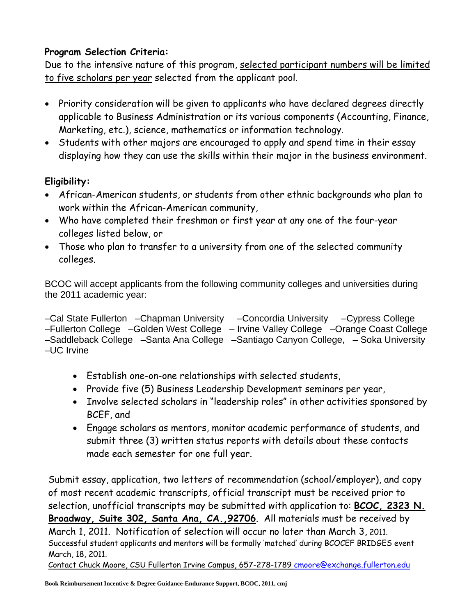### **Program Selection Criteria:**

Due to the intensive nature of this program, selected participant numbers will be limited to five scholars per year selected from the applicant pool.

- Priority consideration will be given to applicants who have declared degrees directly applicable to Business Administration or its various components (Accounting, Finance, Marketing, etc.), science, mathematics or information technology.
- Students with other majors are encouraged to apply and spend time in their essay displaying how they can use the skills within their major in the business environment.

### **Eligibility:**

- African-American students, or students from other ethnic backgrounds who plan to work within the African-American community,
- Who have completed their freshman or first year at any one of the four-year colleges listed below, or
- Those who plan to transfer to a university from one of the selected community colleges.

BCOC will accept applicants from the following community colleges and universities during the 2011 academic year:

–Cal State Fullerton –Chapman University –Concordia University –Cypress College –Fullerton College –Golden West College – Irvine Valley College –Orange Coast College –Saddleback College –Santa Ana College –Santiago Canyon College, – Soka University –UC Irvine

- Establish one-on-one relationships with selected students,
- Provide five (5) Business Leadership Development seminars per year,
- Involve selected scholars in "leadership roles" in other activities sponsored by BCEF, and
- Engage scholars as mentors, monitor academic performance of students, and submit three (3) written status reports with details about these contacts made each semester for one full year.

Submit essay, application, two letters of recommendation (school/employer), and copy of most recent academic transcripts, official transcript must be received prior to selection, unofficial transcripts may be submitted with application to: **BCOC, 2323 N. Broadway, Suite 302, Santa Ana, CA.,92706**. All materials must be received by March 1, 2011. Notification of selection will occur no later than March 3, 2011. Successful student applicants and mentors will be formally 'matched' during BCOCEF BRIDGES event March, 18, 2011.

Contact Chuck Moore, CSU Fullerton Irvine Campus, 657-278-1789 [cmoore@exchange.fullerton.edu](mailto:cmoore@exchange.fullerton.edu)